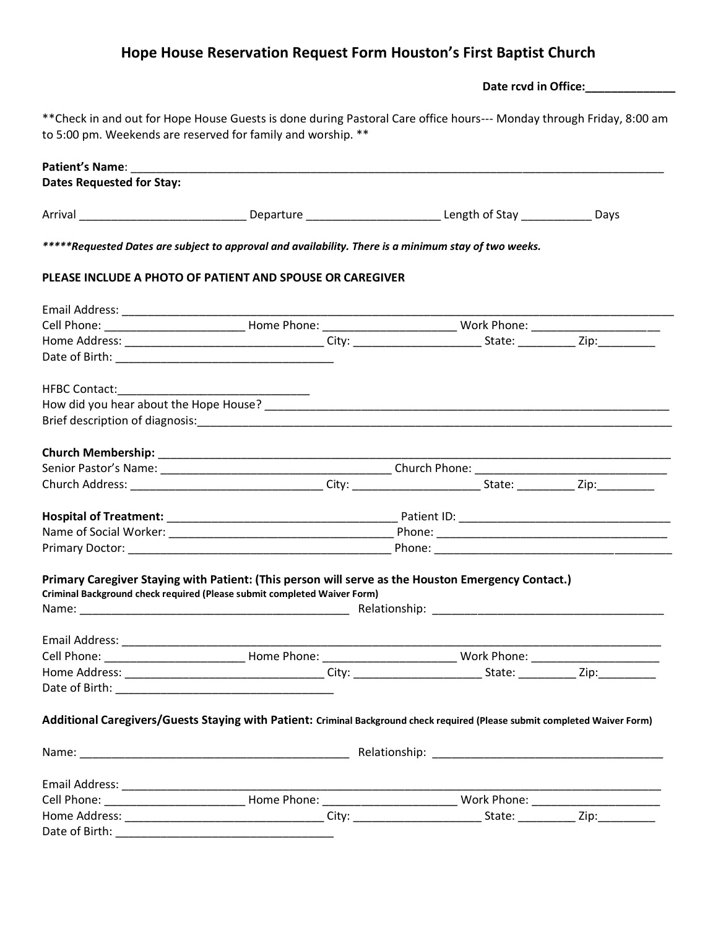## **Hope House Reservation Request Form Houston's First Baptist Church**

|                                                                                                                                                                                       |                                                                                                                             | Date rcvd in Office: ______________ |  |  |  |
|---------------------------------------------------------------------------------------------------------------------------------------------------------------------------------------|-----------------------------------------------------------------------------------------------------------------------------|-------------------------------------|--|--|--|
| ** Check in and out for Hope House Guests is done during Pastoral Care office hours--- Monday through Friday, 8:00 am<br>to 5:00 pm. Weekends are reserved for family and worship. ** |                                                                                                                             |                                     |  |  |  |
| <b>Patient's Name:</b>                                                                                                                                                                |                                                                                                                             |                                     |  |  |  |
| <b>Dates Requested for Stay:</b>                                                                                                                                                      |                                                                                                                             |                                     |  |  |  |
|                                                                                                                                                                                       |                                                                                                                             |                                     |  |  |  |
|                                                                                                                                                                                       | *****Requested Dates are subject to approval and availability. There is a minimum stay of two weeks.                        |                                     |  |  |  |
|                                                                                                                                                                                       | <b>PLEASE INCLUDE A PHOTO OF PATIENT AND SPOUSE OR CAREGIVER</b>                                                            |                                     |  |  |  |
|                                                                                                                                                                                       |                                                                                                                             |                                     |  |  |  |
|                                                                                                                                                                                       | Cell Phone: ___________________________Home Phone: ____________________________Work Phone: ___________________              |                                     |  |  |  |
|                                                                                                                                                                                       |                                                                                                                             |                                     |  |  |  |
|                                                                                                                                                                                       |                                                                                                                             |                                     |  |  |  |
| <b>HFBC Contact:</b>                                                                                                                                                                  |                                                                                                                             |                                     |  |  |  |
|                                                                                                                                                                                       |                                                                                                                             |                                     |  |  |  |
|                                                                                                                                                                                       |                                                                                                                             |                                     |  |  |  |
|                                                                                                                                                                                       |                                                                                                                             |                                     |  |  |  |
|                                                                                                                                                                                       |                                                                                                                             |                                     |  |  |  |
|                                                                                                                                                                                       |                                                                                                                             |                                     |  |  |  |
|                                                                                                                                                                                       |                                                                                                                             |                                     |  |  |  |
|                                                                                                                                                                                       |                                                                                                                             |                                     |  |  |  |
|                                                                                                                                                                                       |                                                                                                                             |                                     |  |  |  |
|                                                                                                                                                                                       | Primary Caregiver Staying with Patient: (This person will serve as the Houston Emergency Contact.)                          |                                     |  |  |  |
|                                                                                                                                                                                       | Criminal Background check required (Please submit completed Waiver Form)                                                    |                                     |  |  |  |
|                                                                                                                                                                                       |                                                                                                                             |                                     |  |  |  |
|                                                                                                                                                                                       |                                                                                                                             |                                     |  |  |  |
|                                                                                                                                                                                       |                                                                                                                             |                                     |  |  |  |
|                                                                                                                                                                                       |                                                                                                                             |                                     |  |  |  |
|                                                                                                                                                                                       |                                                                                                                             |                                     |  |  |  |
|                                                                                                                                                                                       | Additional Caregivers/Guests Staying with Patient: Criminal Background check required (Please submit completed Waiver Form) |                                     |  |  |  |
|                                                                                                                                                                                       |                                                                                                                             |                                     |  |  |  |
|                                                                                                                                                                                       |                                                                                                                             |                                     |  |  |  |
|                                                                                                                                                                                       |                                                                                                                             |                                     |  |  |  |
|                                                                                                                                                                                       | Cell Phone: _____________________________Home Phone: ____________________________ Work Phone: ________________              |                                     |  |  |  |
|                                                                                                                                                                                       |                                                                                                                             |                                     |  |  |  |
|                                                                                                                                                                                       |                                                                                                                             |                                     |  |  |  |